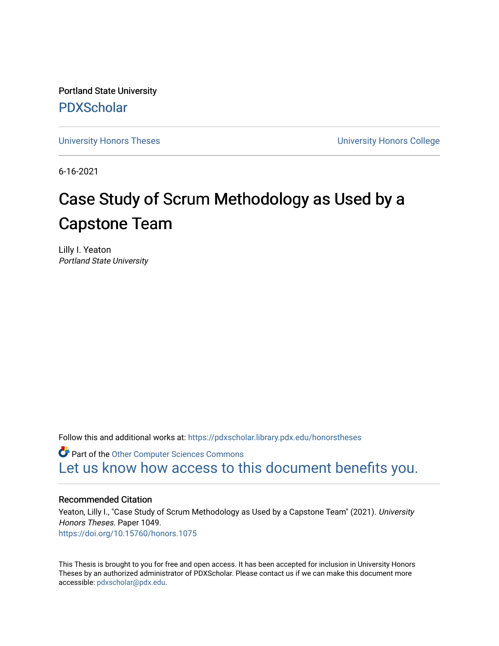Portland State University [PDXScholar](https://pdxscholar.library.pdx.edu/)

[University Honors Theses](https://pdxscholar.library.pdx.edu/honorstheses) **University Honors College** 

6-16-2021

# Case Study of Scrum Methodology as Used by a Capstone Team

Lilly I. Yeaton Portland State University

Follow this and additional works at: [https://pdxscholar.library.pdx.edu/honorstheses](https://pdxscholar.library.pdx.edu/honorstheses?utm_source=pdxscholar.library.pdx.edu%2Fhonorstheses%2F1049&utm_medium=PDF&utm_campaign=PDFCoverPages) 

**C** Part of the [Other Computer Sciences Commons](http://network.bepress.com/hgg/discipline/152?utm_source=pdxscholar.library.pdx.edu%2Fhonorstheses%2F1049&utm_medium=PDF&utm_campaign=PDFCoverPages) [Let us know how access to this document benefits you.](http://library.pdx.edu/services/pdxscholar-services/pdxscholar-feedback/) 

#### Recommended Citation

Yeaton, Lilly I., "Case Study of Scrum Methodology as Used by a Capstone Team" (2021). University Honors Theses. Paper 1049. <https://doi.org/10.15760/honors.1075>

This Thesis is brought to you for free and open access. It has been accepted for inclusion in University Honors Theses by an authorized administrator of PDXScholar. Please contact us if we can make this document more accessible: [pdxscholar@pdx.edu.](mailto:pdxscholar@pdx.edu)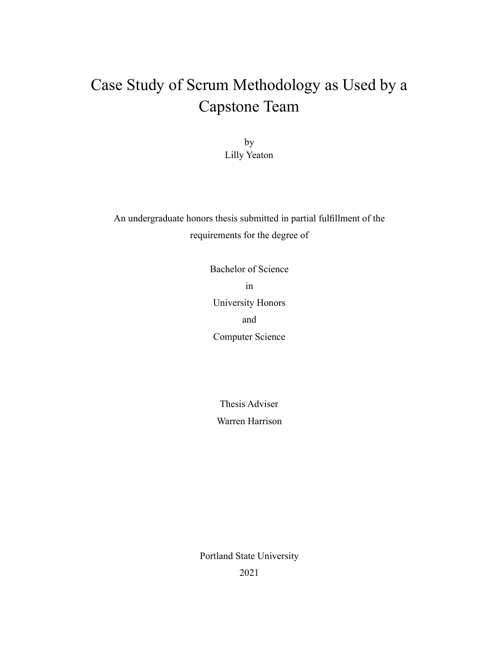# Case Study of Scrum Methodology as Used by a Capstone Team

by Lilly Yeaton

An undergraduate honors thesis submitted in partial fulfillment of the requirements for the degree of

> Bachelor of Science in University Honors and Computer Science

Thesis Adviser Warren Harrison

Portland State University 2021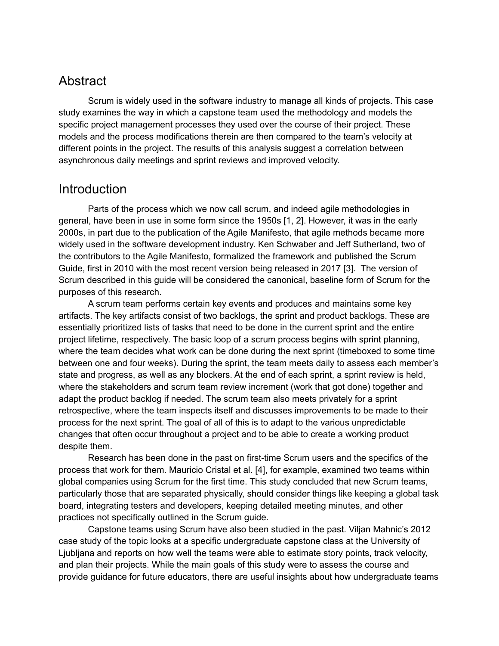# **Abstract**

Scrum is widely used in the software industry to manage all kinds of projects. This case study examines the way in which a capstone team used the methodology and models the specific project management processes they used over the course of their project. These models and the process modifications therein are then compared to the team's velocity at different points in the project. The results of this analysis suggest a correlation between asynchronous daily meetings and sprint reviews and improved velocity.

# Introduction

Parts of the process which we now call scrum, and indeed agile methodologies in general, have been in use in some form since the 1950s [1, 2]. However, it was in the early 2000s, in part due to the publication of the Agile Manifesto, that agile methods became more widely used in the software development industry. Ken Schwaber and Jeff Sutherland, two of the contributors to the Agile Manifesto, formalized the framework and published the Scrum Guide, first in 2010 with the most recent version being released in 2017 [3]. The version of Scrum described in this guide will be considered the canonical, baseline form of Scrum for the purposes of this research.

A scrum team performs certain key events and produces and maintains some key artifacts. The key artifacts consist of two backlogs, the sprint and product backlogs. These are essentially prioritized lists of tasks that need to be done in the current sprint and the entire project lifetime, respectively. The basic loop of a scrum process begins with sprint planning, where the team decides what work can be done during the next sprint (timeboxed to some time between one and four weeks). During the sprint, the team meets daily to assess each member's state and progress, as well as any blockers. At the end of each sprint, a sprint review is held, where the stakeholders and scrum team review increment (work that got done) together and adapt the product backlog if needed. The scrum team also meets privately for a sprint retrospective, where the team inspects itself and discusses improvements to be made to their process for the next sprint. The goal of all of this is to adapt to the various unpredictable changes that often occur throughout a project and to be able to create a working product despite them.

Research has been done in the past on first-time Scrum users and the specifics of the process that work for them. Mauricio Cristal et al. [4], for example, examined two teams within global companies using Scrum for the first time. This study concluded that new Scrum teams, particularly those that are separated physically, should consider things like keeping a global task board, integrating testers and developers, keeping detailed meeting minutes, and other practices not specifically outlined in the Scrum guide.

Capstone teams using Scrum have also been studied in the past. Viljan Mahnic's 2012 case study of the topic looks at a specific undergraduate capstone class at the University of Ljubljana and reports on how well the teams were able to estimate story points, track velocity, and plan their projects. While the main goals of this study were to assess the course and provide guidance for future educators, there are useful insights about how undergraduate teams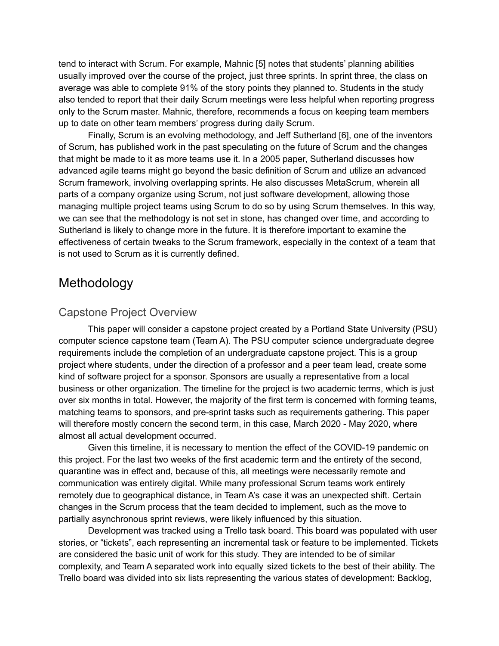tend to interact with Scrum. For example, Mahnic [5] notes that students' planning abilities usually improved over the course of the project, just three sprints. In sprint three, the class on average was able to complete 91% of the story points they planned to. Students in the study also tended to report that their daily Scrum meetings were less helpful when reporting progress only to the Scrum master. Mahnic, therefore, recommends a focus on keeping team members up to date on other team members' progress during daily Scrum.

Finally, Scrum is an evolving methodology, and Jeff Sutherland [6], one of the inventors of Scrum, has published work in the past speculating on the future of Scrum and the changes that might be made to it as more teams use it. In a 2005 paper, Sutherland discusses how advanced agile teams might go beyond the basic definition of Scrum and utilize an advanced Scrum framework, involving overlapping sprints. He also discusses MetaScrum, wherein all parts of a company organize using Scrum, not just software development, allowing those managing multiple project teams using Scrum to do so by using Scrum themselves. In this way, we can see that the methodology is not set in stone, has changed over time, and according to Sutherland is likely to change more in the future. It is therefore important to examine the effectiveness of certain tweaks to the Scrum framework, especially in the context of a team that is not used to Scrum as it is currently defined.

# Methodology

### Capstone Project Overview

This paper will consider a capstone project created by a Portland State University (PSU) computer science capstone team (Team A). The PSU computer science undergraduate degree requirements include the completion of an undergraduate capstone project. This is a group project where students, under the direction of a professor and a peer team lead, create some kind of software project for a sponsor. Sponsors are usually a representative from a local business or other organization. The timeline for the project is two academic terms, which is just over six months in total. However, the majority of the first term is concerned with forming teams, matching teams to sponsors, and pre-sprint tasks such as requirements gathering. This paper will therefore mostly concern the second term, in this case, March 2020 - May 2020, where almost all actual development occurred.

Given this timeline, it is necessary to mention the effect of the COVID-19 pandemic on this project. For the last two weeks of the first academic term and the entirety of the second, quarantine was in effect and, because of this, all meetings were necessarily remote and communication was entirely digital. While many professional Scrum teams work entirely remotely due to geographical distance, in Team A's case it was an unexpected shift. Certain changes in the Scrum process that the team decided to implement, such as the move to partially asynchronous sprint reviews, were likely influenced by this situation.

Development was tracked using a Trello task board. This board was populated with user stories, or "tickets", each representing an incremental task or feature to be implemented. Tickets are considered the basic unit of work for this study. They are intended to be of similar complexity, and Team A separated work into equally sized tickets to the best of their ability. The Trello board was divided into six lists representing the various states of development: Backlog,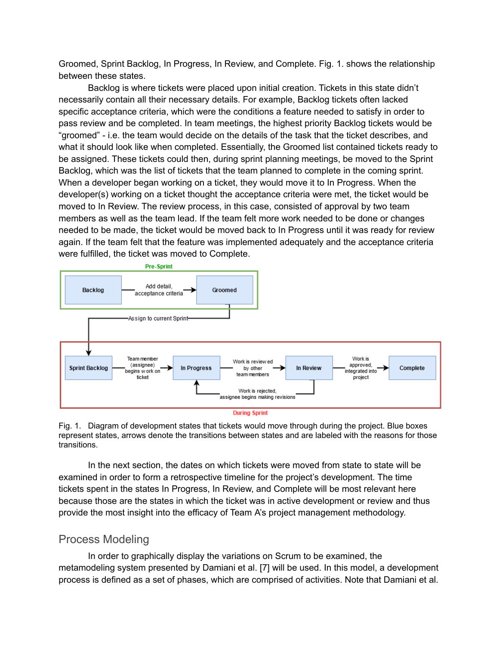Groomed, Sprint Backlog, In Progress, In Review, and Complete. Fig. 1. shows the relationship between these states.

Backlog is where tickets were placed upon initial creation. Tickets in this state didn't necessarily contain all their necessary details. For example, Backlog tickets often lacked specific acceptance criteria, which were the conditions a feature needed to satisfy in order to pass review and be completed. In team meetings, the highest priority Backlog tickets would be "groomed" - i.e. the team would decide on the details of the task that the ticket describes, and what it should look like when completed. Essentially, the Groomed list contained tickets ready to be assigned. These tickets could then, during sprint planning meetings, be moved to the Sprint Backlog, which was the list of tickets that the team planned to complete in the coming sprint. When a developer began working on a ticket, they would move it to In Progress. When the developer(s) working on a ticket thought the acceptance criteria were met, the ticket would be moved to In Review. The review process, in this case, consisted of approval by two team members as well as the team lead. If the team felt more work needed to be done or changes needed to be made, the ticket would be moved back to In Progress until it was ready for review again. If the team felt that the feature was implemented adequately and the acceptance criteria were fulfilled, the ticket was moved to Complete.





Fig. 1. Diagram of development states that tickets would move through during the project. Blue boxes represent states, arrows denote the transitions between states and are labeled with the reasons for those transitions.

In the next section, the dates on which tickets were moved from state to state will be examined in order to form a retrospective timeline for the project's development. The time tickets spent in the states In Progress, In Review, and Complete will be most relevant here because those are the states in which the ticket was in active development or review and thus provide the most insight into the efficacy of Team A's project management methodology.

### Process Modeling

In order to graphically display the variations on Scrum to be examined, the metamodeling system presented by Damiani et al. [7] will be used. In this model, a development process is defined as a set of phases, which are comprised of activities. Note that Damiani et al.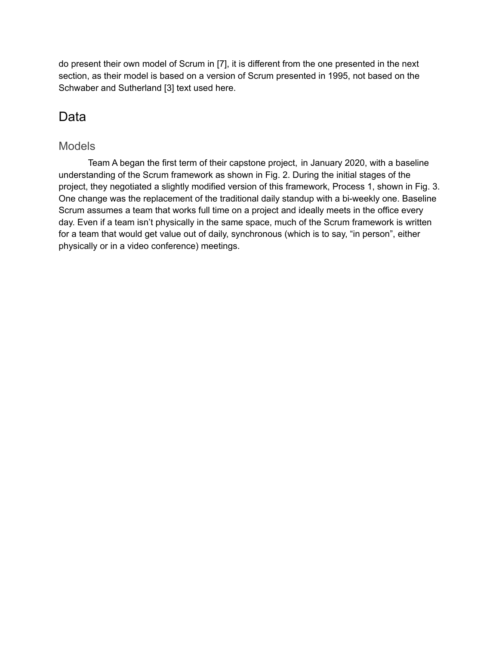do present their own model of Scrum in [7], it is different from the one presented in the next section, as their model is based on a version of Scrum presented in 1995, not based on the Schwaber and Sutherland [3] text used here.

# Data

### Models

Team A began the first term of their capstone project, in January 2020, with a baseline understanding of the Scrum framework as shown in Fig. 2. During the initial stages of the project, they negotiated a slightly modified version of this framework, Process 1, shown in Fig. 3. One change was the replacement of the traditional daily standup with a bi-weekly one. Baseline Scrum assumes a team that works full time on a project and ideally meets in the office every day. Even if a team isn't physically in the same space, much of the Scrum framework is written for a team that would get value out of daily, synchronous (which is to say, "in person", either physically or in a video conference) meetings.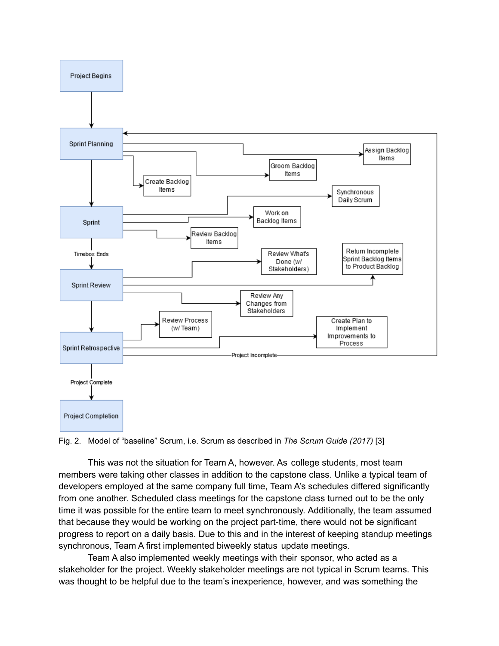

Fig. 2. Model of "baseline" Scrum, i.e. Scrum as described in *The Scrum Guide (2017)* [3]

This was not the situation for Team A, however. As college students, most team members were taking other classes in addition to the capstone class. Unlike a typical team of developers employed at the same company full time, Team A's schedules differed significantly from one another. Scheduled class meetings for the capstone class turned out to be the only time it was possible for the entire team to meet synchronously. Additionally, the team assumed that because they would be working on the project part-time, there would not be significant progress to report on a daily basis. Due to this and in the interest of keeping standup meetings synchronous, Team A first implemented biweekly status update meetings.

Team A also implemented weekly meetings with their sponsor, who acted as a stakeholder for the project. Weekly stakeholder meetings are not typical in Scrum teams. This was thought to be helpful due to the team's inexperience, however, and was something the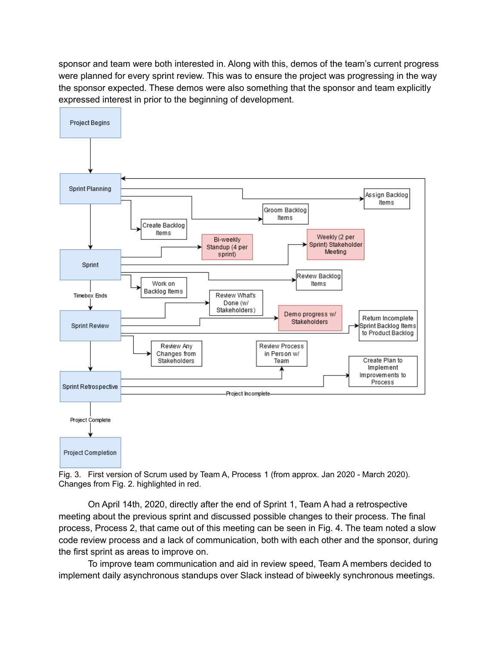sponsor and team were both interested in. Along with this, demos of the team's current progress were planned for every sprint review. This was to ensure the project was progressing in the way the sponsor expected. These demos were also something that the sponsor and team explicitly expressed interest in prior to the beginning of development.



Fig. 3. First version of Scrum used by Team A, Process 1 (from approx. Jan 2020 - March 2020). Changes from Fig. 2. highlighted in red.

On April 14th, 2020, directly after the end of Sprint 1, Team A had a retrospective meeting about the previous sprint and discussed possible changes to their process. The final process, Process 2, that came out of this meeting can be seen in Fig. 4. The team noted a slow code review process and a lack of communication, both with each other and the sponsor, during the first sprint as areas to improve on.

To improve team communication and aid in review speed, Team A members decided to implement daily asynchronous standups over Slack instead of biweekly synchronous meetings.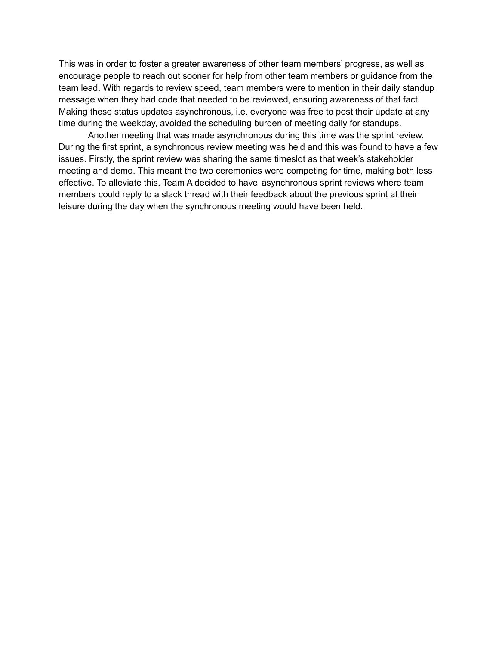This was in order to foster a greater awareness of other team members' progress, as well as encourage people to reach out sooner for help from other team members or guidance from the team lead. With regards to review speed, team members were to mention in their daily standup message when they had code that needed to be reviewed, ensuring awareness of that fact. Making these status updates asynchronous, i.e. everyone was free to post their update at any time during the weekday, avoided the scheduling burden of meeting daily for standups.

Another meeting that was made asynchronous during this time was the sprint review. During the first sprint, a synchronous review meeting was held and this was found to have a few issues. Firstly, the sprint review was sharing the same timeslot as that week's stakeholder meeting and demo. This meant the two ceremonies were competing for time, making both less effective. To alleviate this, Team A decided to have asynchronous sprint reviews where team members could reply to a slack thread with their feedback about the previous sprint at their leisure during the day when the synchronous meeting would have been held.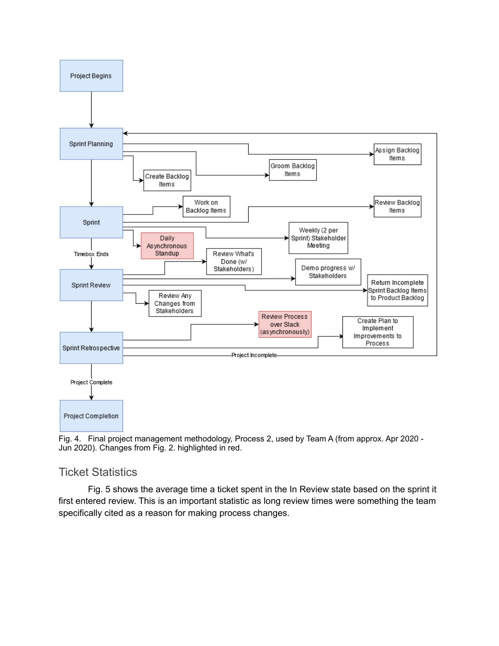

Fig. 4. Final project management methodology, Process 2, used by Team A (from approx. Apr 2020 - Jun 2020). Changes from Fig. 2. highlighted in red.

### Ticket Statistics

Fig. 5 shows the average time a ticket spent in the In Review state based on the sprint it first entered review. This is an important statistic as long review times were something the team specifically cited as a reason for making process changes.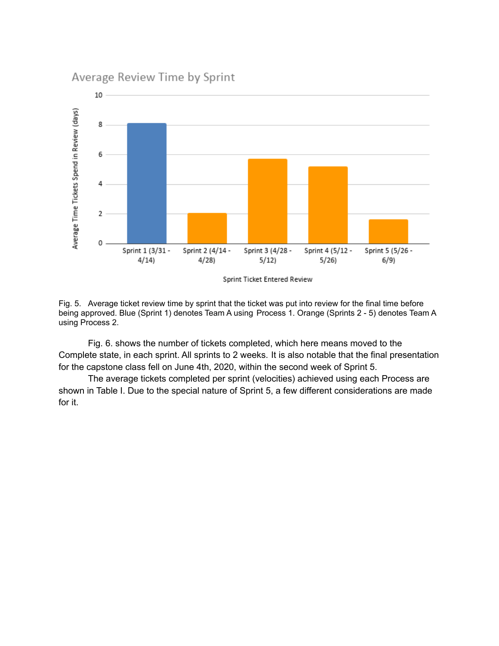### Average Review Time by Sprint



Sprint Ticket Entered Review

Fig. 5. Average ticket review time by sprint that the ticket was put into review for the final time before being approved. Blue (Sprint 1) denotes Team A using Process 1. Orange (Sprints 2 - 5) denotes Team A using Process 2.

Fig. 6. shows the number of tickets completed, which here means moved to the Complete state, in each sprint. All sprints to 2 weeks. It is also notable that the final presentation for the capstone class fell on June 4th, 2020, within the second week of Sprint 5.

The average tickets completed per sprint (velocities) achieved using each Process are shown in Table I. Due to the special nature of Sprint 5, a few different considerations are made for it.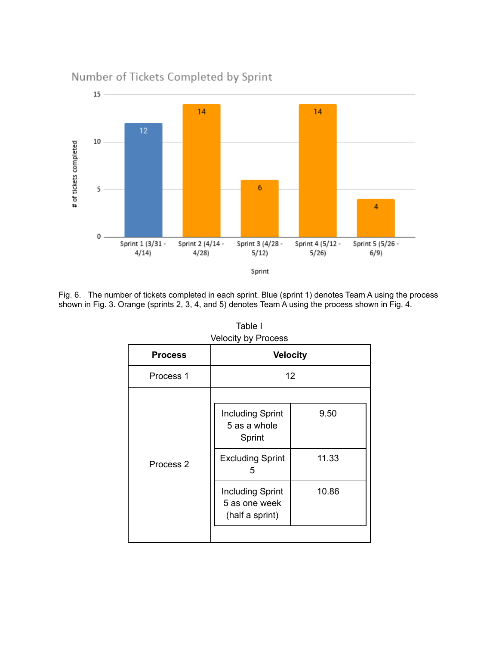

Fig. 6. The number of tickets completed in each sprint. Blue (sprint 1) denotes Team A using the process shown in Fig. 3. Orange (sprints 2, 3, 4, and 5) denotes Team A using the process shown in Fig. 4.

| <b>Process</b>       | <b>Velocity</b>                                                                   |               |
|----------------------|-----------------------------------------------------------------------------------|---------------|
| Process 1            | 12                                                                                |               |
| Process <sub>2</sub> | <b>Including Sprint</b><br>5 as a whole<br>Sprint<br><b>Excluding Sprint</b><br>5 | 9.50<br>11.33 |
|                      | <b>Including Sprint</b><br>5 as one week<br>(half a sprint)                       | 10.86         |

Table I Velocity by Process

## Number of Tickets Completed by Sprint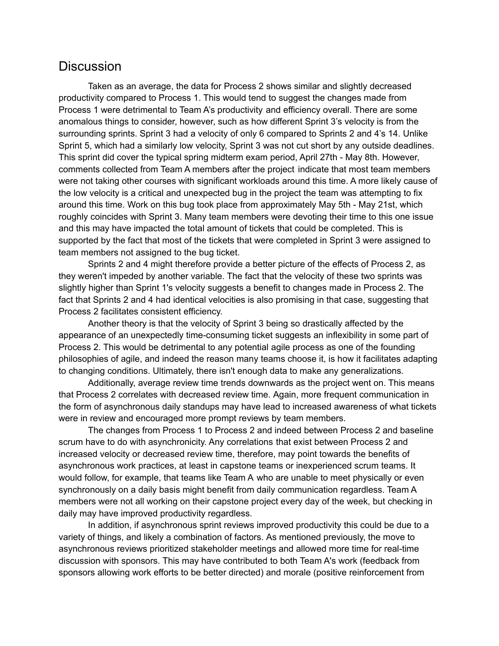### **Discussion**

Taken as an average, the data for Process 2 shows similar and slightly decreased productivity compared to Process 1. This would tend to suggest the changes made from Process 1 were detrimental to Team A's productivity and efficiency overall. There are some anomalous things to consider, however, such as how different Sprint 3's velocity is from the surrounding sprints. Sprint 3 had a velocity of only 6 compared to Sprints 2 and 4's 14. Unlike Sprint 5, which had a similarly low velocity, Sprint 3 was not cut short by any outside deadlines. This sprint did cover the typical spring midterm exam period, April 27th - May 8th. However, comments collected from Team A members after the project indicate that most team members were not taking other courses with significant workloads around this time. A more likely cause of the low velocity is a critical and unexpected bug in the project the team was attempting to fix around this time. Work on this bug took place from approximately May 5th - May 21st, which roughly coincides with Sprint 3. Many team members were devoting their time to this one issue and this may have impacted the total amount of tickets that could be completed. This is supported by the fact that most of the tickets that were completed in Sprint 3 were assigned to team members not assigned to the bug ticket.

Sprints 2 and 4 might therefore provide a better picture of the effects of Process 2, as they weren't impeded by another variable. The fact that the velocity of these two sprints was slightly higher than Sprint 1's velocity suggests a benefit to changes made in Process 2. The fact that Sprints 2 and 4 had identical velocities is also promising in that case, suggesting that Process 2 facilitates consistent efficiency.

Another theory is that the velocity of Sprint 3 being so drastically affected by the appearance of an unexpectedly time-consuming ticket suggests an inflexibility in some part of Process 2. This would be detrimental to any potential agile process as one of the founding philosophies of agile, and indeed the reason many teams choose it, is how it facilitates adapting to changing conditions. Ultimately, there isn't enough data to make any generalizations.

Additionally, average review time trends downwards as the project went on. This means that Process 2 correlates with decreased review time. Again, more frequent communication in the form of asynchronous daily standups may have lead to increased awareness of what tickets were in review and encouraged more prompt reviews by team members.

The changes from Process 1 to Process 2 and indeed between Process 2 and baseline scrum have to do with asynchronicity. Any correlations that exist between Process 2 and increased velocity or decreased review time, therefore, may point towards the benefits of asynchronous work practices, at least in capstone teams or inexperienced scrum teams. It would follow, for example, that teams like Team A who are unable to meet physically or even synchronously on a daily basis might benefit from daily communication regardless. Team A members were not all working on their capstone project every day of the week, but checking in daily may have improved productivity regardless.

In addition, if asynchronous sprint reviews improved productivity this could be due to a variety of things, and likely a combination of factors. As mentioned previously, the move to asynchronous reviews prioritized stakeholder meetings and allowed more time for real-time discussion with sponsors. This may have contributed to both Team A's work (feedback from sponsors allowing work efforts to be better directed) and morale (positive reinforcement from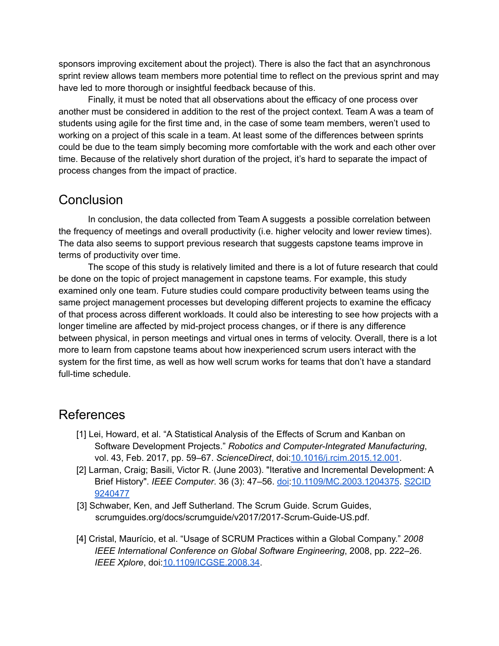sponsors improving excitement about the project). There is also the fact that an asynchronous sprint review allows team members more potential time to reflect on the previous sprint and may have led to more thorough or insightful feedback because of this.

Finally, it must be noted that all observations about the efficacy of one process over another must be considered in addition to the rest of the project context. Team A was a team of students using agile for the first time and, in the case of some team members, weren't used to working on a project of this scale in a team. At least some of the differences between sprints could be due to the team simply becoming more comfortable with the work and each other over time. Because of the relatively short duration of the project, it's hard to separate the impact of process changes from the impact of practice.

# **Conclusion**

In conclusion, the data collected from Team A suggests a possible correlation between the frequency of meetings and overall productivity (i.e. higher velocity and lower review times). The data also seems to support previous research that suggests capstone teams improve in terms of productivity over time.

The scope of this study is relatively limited and there is a lot of future research that could be done on the topic of project management in capstone teams. For example, this study examined only one team. Future studies could compare productivity between teams using the same project management processes but developing different projects to examine the efficacy of that process across different workloads. It could also be interesting to see how projects with a longer timeline are affected by mid-project process changes, or if there is any difference between physical, in person meetings and virtual ones in terms of velocity. Overall, there is a lot more to learn from capstone teams about how inexperienced scrum users interact with the system for the first time, as well as how well scrum works for teams that don't have a standard full-time schedule.

# References

- [1] Lei, Howard, et al. "A Statistical Analysis of the Effects of Scrum and Kanban on Software Development Projects." *Robotics and Computer-Integrated Manufacturing*, vol. 43, Feb. 2017, pp. 59–67. *ScienceDirect*, doi:[10.1016/j.rcim.2015.12.001](https://doi.org/10.1016/j.rcim.2015.12.001).
- [2] Larman, Craig; Basili, Victor R. (June 2003). "Iterative and Incremental Development: A Brief History". *IEEE Computer*. 36 (3): 47–56. [doi:](https://en.wikipedia.org/wiki/Doi_(identifier))[10.1109/MC.2003.1204375](https://doi.org/10.1109%2FMC.2003.1204375). [S2CID](https://en.wikipedia.org/wiki/S2CID_(identifier)) [9240477](https://api.semanticscholar.org/CorpusID:9240477)
- [3] Schwaber, Ken, and Jeff Sutherland. The Scrum Guide. Scrum Guides, scrumguides.org/docs/scrumguide/v2017/2017-Scrum-Guide-US.pdf.
- [4] Cristal, Maurício, et al. "Usage of SCRUM Practices within a Global Company." *2008 IEEE International Conference on Global Software Engineering*, 2008, pp. 222–26. *IEEE Xplore*, doi:[10.1109/ICGSE.2008.34.](https://doi.org/10.1109/ICGSE.2008.34)